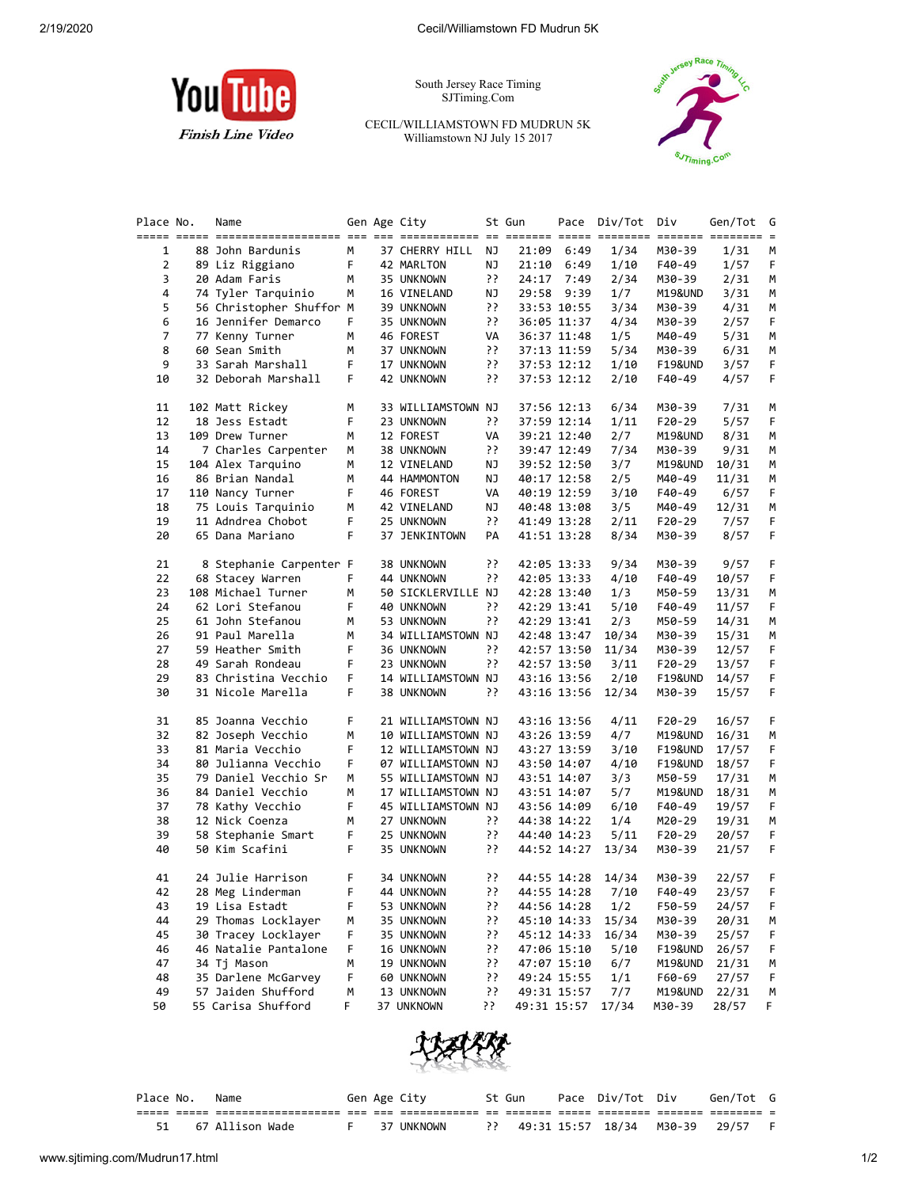

South Jersey Race Timing SJTiming.Com

CECIL/WILLIAMSTOWN FD MUDRUN 5K Williamstown NJ July 15 2017



| Place No. | Name                     |    | Gen Age City       |           | St Gun      | Pace        | Div/Tot | Div                | Gen/Tot            | G  |
|-----------|--------------------------|----|--------------------|-----------|-------------|-------------|---------|--------------------|--------------------|----|
|           |                          |    |                    |           |             |             |         |                    | ======= ======== = |    |
| 1         | 88 John Bardunis         | м  | 37 CHERRY HILL     | ΝJ        | 21:09       | 6:49        | 1/34    | M30-39             | 1/31               | M  |
| 2         | 89 Liz Riggiano          | F  | 42 MARLTON         | ΝJ        | 21:10       | 6:49        | 1/10    | F40-49             | 1/57               | F  |
| 3         | 20 Adam Faris            | М  | 35 UNKNOWN         | יִ        | 24:17       | 7:49        | 2/34    | M30-39             | 2/31               | М  |
| 4         | 74 Tyler Tarquinio       | м  | 16 VINELAND        | ΝJ        |             | 29:58 9:39  | 1/7     | M19&UND            | 3/31               | М  |
| 5         | 56 Christopher Shuffor M |    | 39 UNKNOWN         | יִ        |             | 33:53 10:55 | 3/34    | M30-39             | 4/31               | М  |
| 6         | 16 Jennifer Demarco      | F. | 35 UNKNOWN         | יִ        |             | 36:05 11:37 | 4/34    | M30-39             | 2/57               | F  |
| 7         | 77 Kenny Turner          | м  | 46 FOREST          | VA        |             | 36:37 11:48 | 1/5     | M40-49             | 5/31               | М  |
| 8         | 60 Sean Smith            | м  | 37 UNKNOWN         | ??        |             | 37:13 11:59 | 5/34    | M30-39             | 6/31               | М  |
| 9         | 33 Sarah Marshall        | F  | 17 UNKNOWN         | יִי       |             | 37:53 12:12 | 1/10    | <b>F19&amp;UND</b> | 3/57               | F  |
| 10        | 32 Deborah Marshall      | F  | 42 UNKNOWN         | ??        |             | 37:53 12:12 | 2/10    | F40-49             | 4/57               | F. |
| 11        | 102 Matt Rickey          | м  | 33 WILLIAMSTOWN NJ |           |             | 37:56 12:13 | 6/34    | M30-39             | 7/31               | м  |
| 12        | 18 Jess Estadt           | F  | 23 UNKNOWN         | ??        |             | 37:59 12:14 | 1/11    | F20-29             | 5/57               | F  |
| 13        | 109 Drew Turner          | м  | 12 FOREST          | VA        |             | 39:21 12:40 | 2/7     | M19&UND            | 8/31               | М  |
| 14        | 7 Charles Carpenter      | м  | 38 UNKNOWN         | ??        |             | 39:47 12:49 | 7/34    | M30-39             | 9/31               | М  |
| 15        | 104 Alex Tarquino        | м  | 12 VINELAND        | ΝJ        |             | 39:52 12:50 | 3/7     | M19&UND            | 10/31              | М  |
| 16        | 86 Brian Nandal          | м  | 44 HAMMONTON       | ΝJ        |             | 40:17 12:58 | 2/5     | M40-49             | 11/31              | М  |
| 17        | 110 Nancy Turner         | F  | 46 FOREST          | VA        |             | 40:19 12:59 | 3/10    | F40-49             | 6/57               | F  |
| 18        | 75 Louis Tarquinio       | м  | 42 VINELAND        | ΝJ        |             | 40:48 13:08 | 3/5     | M40-49             | 12/31              | м  |
| 19        | 11 Adndrea Chobot        | F  | 25 UNKNOWN         | יִ        |             | 41:49 13:28 | 2/11    | F20-29             | 7/57               | F. |
| 20        | 65 Dana Mariano          | F  | 37 JENKINTOWN      | PA        |             | 41:51 13:28 | 8/34    | M30-39             | 8/57               | F. |
| 21        | 8 Stephanie Carpenter F  |    | 38 UNKNOWN         | יִ        |             | 42:05 13:33 | 9/34    | M30-39             | 9/57               | F  |
| 22        | 68 Stacey Warren         | F  | 44 UNKNOWN         | יִ        |             | 42:05 13:33 | 4/10    | F40-49             | 10/57              | F  |
| 23        | 108 Michael Turner       | м  | 50 SICKLERVILLE NJ |           |             | 42:28 13:40 | 1/3     | M50-59             | 13/31              | м  |
| 24        | 62 Lori Stefanou         | F  | 40 UNKNOWN         | יִ        |             | 42:29 13:41 | 5/10    | F40-49             | 11/57              | F. |
| 25        | 61 John Stefanou         | м  | 53 UNKNOWN         | יִ        |             | 42:29 13:41 | 2/3     | M50-59             | 14/31              | М  |
| 26        | 91 Paul Marella          | М  | 34 WILLIAMSTOWN NJ |           |             | 42:48 13:47 | 10/34   | M30-39             | 15/31              | М  |
| 27        | 59 Heather Smith         | F  | 36 UNKNOWN         | יִ        |             | 42:57 13:50 | 11/34   | M30-39             | 12/57              | F. |
| 28        | 49 Sarah Rondeau         | F  | 23 UNKNOWN         | יִ        |             | 42:57 13:50 | 3/11    | F20-29             | 13/57              | F. |
| 29        | 83 Christina Vecchio     | F  | 14 WILLIAMSTOWN NJ |           |             | 43:16 13:56 | 2/10    | F19&UND            | 14/57              | F  |
| 30        | 31 Nicole Marella        | F  | 38 UNKNOWN         | יִ        |             | 43:16 13:56 | 12/34   | M30-39             | 15/57              | F  |
| 31        | 85 Joanna Vecchio        | F  | 21 WILLIAMSTOWN NJ |           |             | 43:16 13:56 | 4/11    | F20-29             | 16/57              | F. |
| 32        | 82 Joseph Vecchio        | м  | 10 WILLIAMSTOWN NJ |           |             | 43:26 13:59 | 4/7     | M19&UND            | 16/31              | м  |
| 33        | 81 Maria Vecchio         | F  | 12 WILLIAMSTOWN NJ |           |             | 43:27 13:59 | 3/10    | F19&UND            | 17/57              | F  |
| 34        | 80 Julianna Vecchio      | F  | 07 WILLIAMSTOWN NJ |           |             | 43:50 14:07 | 4/10    | F19&UND            | 18/57              | F. |
| 35        | 79 Daniel Vecchio Sr     | М  | 55 WILLIAMSTOWN NJ |           |             | 43:51 14:07 | 3/3     | M50-59             | 17/31              | М  |
| 36        | 84 Daniel Vecchio        | м  | 17 WILLIAMSTOWN NJ |           |             | 43:51 14:07 | 5/7     | M19&UND            | 18/31              | М  |
| 37        | 78 Kathy Vecchio         | F  | 45 WILLIAMSTOWN NJ |           |             | 43:56 14:09 | 6/10    | F40-49             | 19/57              | F  |
| 38        | 12 Nick Coenza           | м  | 27 UNKNOWN         | יִ        |             | 44:38 14:22 | 1/4     | M20-29             | 19/31              | М  |
| 39        | 58 Stephanie Smart       | F  | 25 UNKNOWN         | ??        |             | 44:40 14:23 | 5/11    | F20-29             | 20/57              | F  |
| 40        | 50 Kim Scafini           | F  | 35 UNKNOWN         | יִי       |             | 44:52 14:27 | 13/34   | M30-39             | 21/57              | F. |
| 41        | 24 Julie Harrison        | F  | 34 UNKNOWN         | יִ        |             | 44:55 14:28 | 14/34   | M30-39             | 22/57              | F  |
| 42        | 28 Meg Linderman         | F  | 44 UNKNOWN         | ??        |             | 44:55 14:28 | 7/10    | F40-49             | 23/57              | F. |
|           | 19 Lisa Estadt           | F  | 53 UNKNOWN         |           |             | 44:56 14:28 |         |                    |                    |    |
| 43<br>44  |                          |    | 35 UNKNOWN         | יִ        |             |             | 1/2     | F50-59             | 24/57              | F  |
|           | 29 Thomas Locklayer      | м  |                    | יִי<br>יִ |             | 45:10 14:33 | 15/34   | M30-39             | 20/31              | M  |
| 45        | 30 Tracey Locklayer      | F  | 35 UNKNOWN         |           |             | 45:12 14:33 | 16/34   | M30-39             | 25/57              | F  |
| 46        | 46 Natalie Pantalone     | F  | 16 UNKNOWN         | יִי       |             | 47:06 15:10 | 5/10    | <b>F19&amp;UND</b> | 26/57              | F  |
| 47        | 34 Tj Mason              | м  | 19 UNKNOWN         | יִ        |             | 47:07 15:10 | 6/7     | M19&UND            | 21/31              | M  |
| 48        | 35 Darlene McGarvey      | F  | 60 UNKNOWN         | ??        |             | 49:24 15:55 | 1/1     | F60-69             | 27/57              | F  |
| 49        | 57 Jaiden Shufford       | м  | 13 UNKNOWN         | יִי<br>יִ |             | 49:31 15:57 | 7/7     | M19&UND            | 22/31              | M  |
| 50        | 55 Carisa Shufford       | F. | 37 UNKNOWN         |           | 49:31 15:57 |             | 17/34   | M30-39             | 28/57              | F. |



| Place No. | Name            |  | Gen Age City | St Gun | Pace Div/Tot Div                  | Gen/Tot G |  |
|-----------|-----------------|--|--------------|--------|-----------------------------------|-----------|--|
|           |                 |  |              |        |                                   |           |  |
|           | 67 Allison Wade |  | 37 UNKNOWN   |        | ?? 49:31 15:57 18/34 M30-39 29/57 |           |  |